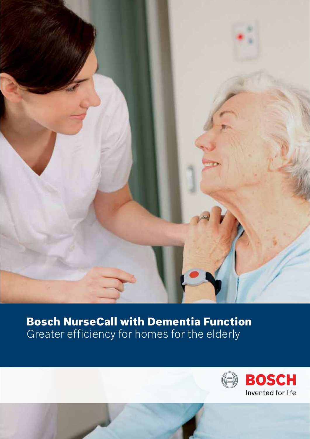

# Bosch NurseCall with Dementia Function Greater efficiency for homes for the elderly

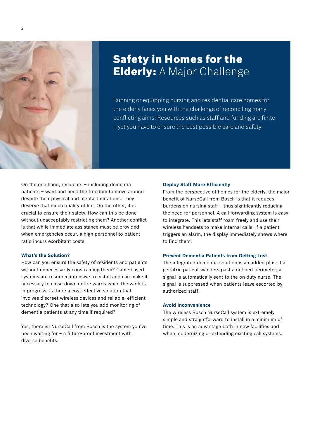

### Safety in Homes for the **Elderly:** A Major Challenge

Running or equipping nursing and residential care homes for the elderly faces you with the challenge of reconciling many conflicting aims. Resources such as staff and funding are finite – yet you have to ensure the best possible care and safety.

On the one hand, residents – including dementia patients – want and need the freedom to move around despite their physical and mental limitations. They deserve that much quality of life. On the other, it is crucial to ensure their safety. How can this be done without unacceptably restricting them? Another conflict is that while immediate assistance must be provided when emergencies occur, a high personnel-to-patient ratio incurs exorbitant costs.

#### **What's the Solution?**

How can you ensure the safety of residents and patients without unnecessarily constraining them? Cable-based systems are resource-intensive to install and can make it necessary to close down entire wards while the work is in progress. Is there a cost-effective solution that involves discreet wireless devices and reliable, efficient technology? One that also lets you add monitoring of dementia patients at any time if required?

Yes, there is! NurseCall from Bosch is the system you've been waiting for – a future-proof investment with diverse benefits.

#### **Deploy Staff More Efficiently**

From the perspective of homes for the elderly, the major benefit of NurseCall from Bosch is that it reduces burdens on nursing staff – thus significantly reducing the need for personnel. A call forwarding system is easy to integrate. This lets staff roam freely and use their wireless handsets to make internal calls. If a patient triggers an alarm, the display immediately shows where to find them.

#### **Prevent Dementia Patients from Getting Lost**

The integrated dementia solution is an added plus: if a geriatric patient wanders past a defined perimeter, a signal is automatically sent to the on-duty nurse. The signal is suppressed when patients leave escorted by authorized staff.

#### **Avoid Inconvenience**

The wireless Bosch NurseCall system is extremely simple and straightforward to install in a minimum of time. This is an advantage both in new facilities and when modernizing or extending existing call systems.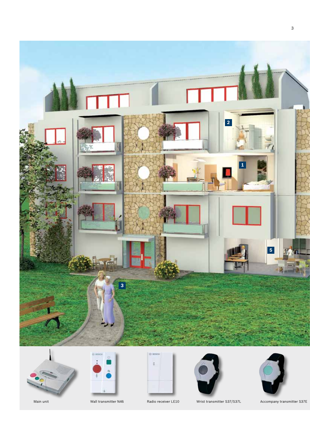













Main unit Wall transmitter N46 Radio receiver LE10 Wrist transmitter S37/S37L Accompany transmitter S37E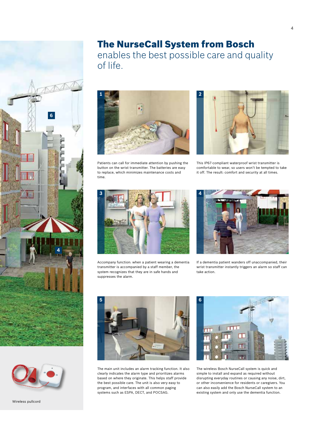



Wireless pullcord

### The NurseCall System from Bosch

enables the best possible care and quality of life.



Patients can call for immediate attention by pushing the button on the wrist transmitter. The batteries are easy to replace, which minimizes maintenance costs and time.



This IP67-compliant waterproof wrist transmitter is comfortable to wear, so users won't be tempted to take it off. The result: comfort and security at all times.



Accompany function: when a patient wearing a dementia transmitter is accompanied by a staff member, the system recognizes that they are in safe hands and suppresses the alarm.



If a dementia patient wanders off unaccompanied, their wrist transmitter instantly triggers an alarm so staff can take action.



The main unit includes an alarm tracking function. It also clearly indicates the alarm type and prioritizes alarms based on where they originate. This helps staff provide the best possible care. The unit is also very easy to program, and interfaces with all common paging systems such as ESPA, DECT, and POCSAG.



The wireless Bosch NurseCall system is quick and simple to install and expand as required without disrupting everyday routines or causing any noise, dirt, or other inconvenience for residents or caregivers. You can also easily add the Bosch NurseCall system to an existing system and only use the dementia function.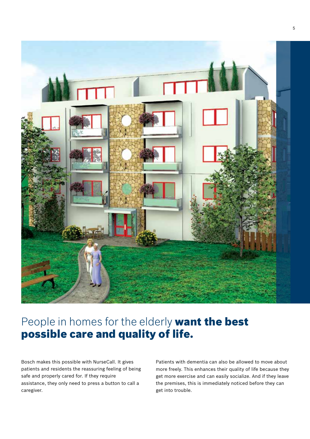

# People in homes for the elderly want the best possible care and quality of life.

Bosch makes this possible with NurseCall. It gives patients and residents the reassuring feeling of being safe and properly cared for. If they require assistance, they only need to press a button to call a caregiver.

Patients with dementia can also be allowed to move about more freely. This enhances their quality of life because they get more exercise and can easily socialize. And if they leave the premises, this is immediately noticed before they can get into trouble.